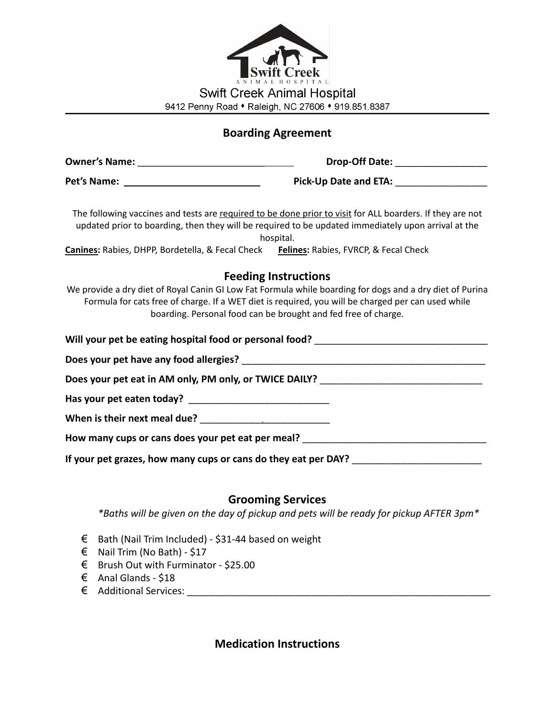| <b>STATE</b><br><b>Swift Creek</b><br>ANIMAL HOSPITAL |
|-------------------------------------------------------|
| <b>Swift Creek Animal Hospital</b>                    |
| 9412 Penny Road • Raleigh, NC 27606 • 919.851.8387    |

## **Boarding Agreement**

|                                                                                        | Drop-Off Date: _________________                                                                                                                                                                                                                                                 |  |  |  |  |
|----------------------------------------------------------------------------------------|----------------------------------------------------------------------------------------------------------------------------------------------------------------------------------------------------------------------------------------------------------------------------------|--|--|--|--|
|                                                                                        | Pick-Up Date and ETA: ______________________                                                                                                                                                                                                                                     |  |  |  |  |
| Canines: Rabies, DHPP, Bordetella, & Fecal Check Felines: Rabies, FVRCP, & Fecal Check | The following vaccines and tests are required to be done prior to visit for ALL boarders. If they are not<br>updated prior to boarding, then they will be required to be updated immediately upon arrival at the<br>hospital.                                                    |  |  |  |  |
|                                                                                        | <b>Feeding Instructions</b>                                                                                                                                                                                                                                                      |  |  |  |  |
|                                                                                        | We provide a dry diet of Royal Canin GI Low Fat Formula while boarding for dogs and a dry diet of Purina<br>Formula for cats free of charge. If a WET diet is required, you will be charged per can used while<br>boarding. Personal food can be brought and fed free of charge. |  |  |  |  |
|                                                                                        | Will your pet be eating hospital food or personal food? ________________________________                                                                                                                                                                                         |  |  |  |  |
|                                                                                        |                                                                                                                                                                                                                                                                                  |  |  |  |  |
|                                                                                        | Does your pet eat in AM only, PM only, or TWICE DAILY? __________________________                                                                                                                                                                                                |  |  |  |  |
|                                                                                        |                                                                                                                                                                                                                                                                                  |  |  |  |  |
|                                                                                        |                                                                                                                                                                                                                                                                                  |  |  |  |  |
|                                                                                        | How many cups or cans does your pet eat per meal? ______________________________                                                                                                                                                                                                 |  |  |  |  |
| If your pet grazes, how many cups or cans do they eat per DAY? __________________      |                                                                                                                                                                                                                                                                                  |  |  |  |  |

## **Grooming Services**

*\*Baths will be given on the day of pickup and pets will be ready for pickup AFTER 3pm\**

- € Bath (Nail Trim Included) \$31-44 based on weight
- € Nail Trim (No Bath) \$17
- € Brush Out with Furminator \$25.00
- € Anal Glands \$18
- € Additional Services: \_\_\_\_\_\_\_\_\_\_\_\_\_\_\_\_\_\_\_\_\_\_\_\_\_\_\_\_\_\_\_\_\_\_\_\_\_\_\_\_\_\_\_\_\_\_\_\_\_\_\_\_\_\_\_\_

**Medication Instructions**